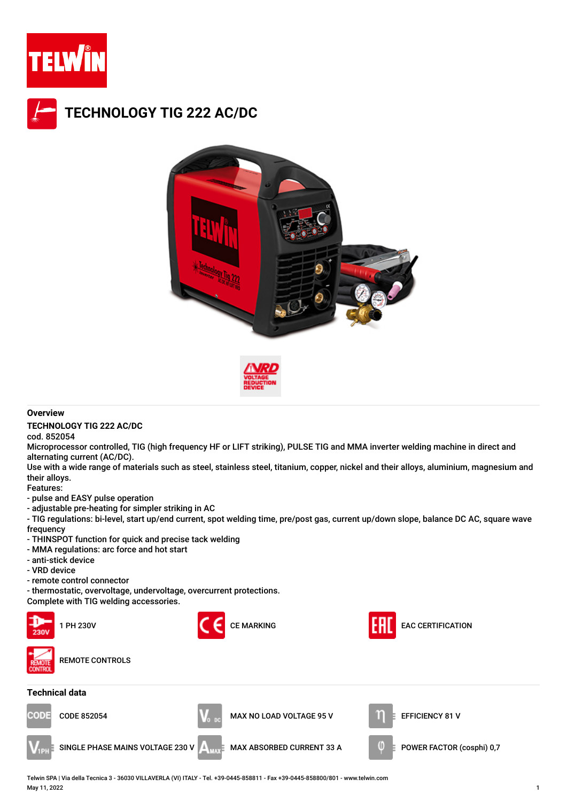







## **Overview**

**TECHNOLOGY TIG 222 AC/DC**

cod. 852054

Microprocessor controlled, TIG (high frequency HF or LIFT striking), PULSE TIG and MMA inverter welding machine in direct and alternating current (AC/DC).

Use with a wide range of materials such as steel, stainless steel, titanium, copper, nickel and their alloys, aluminium, magnesium and their alloys.

Features:

- pulse and EASY pulse operation

- adjustable pre-heating for simpler striking in AC

- TIG regulations: bi-level, start up/end current, spot welding time, pre/post gas, current up/down slope, balance DC AC, square wave frequency

- THINSPOT function for quick and precise tack welding
- MMA regulations: arc force and hot start
- anti-stick device
- VRD device
- remote control connector
- thermostatic, overvoltage, undervoltage, overcurrent protections.

Complete with TIG welding accessories.



Telwin SPA | Via della Tecnica 3 - 36030 VILLAVERLA (VI) ITALY - Tel. +39-0445-858811 - Fax +39-0445-858800/801 - www.telwin.com May 11, 2022 1